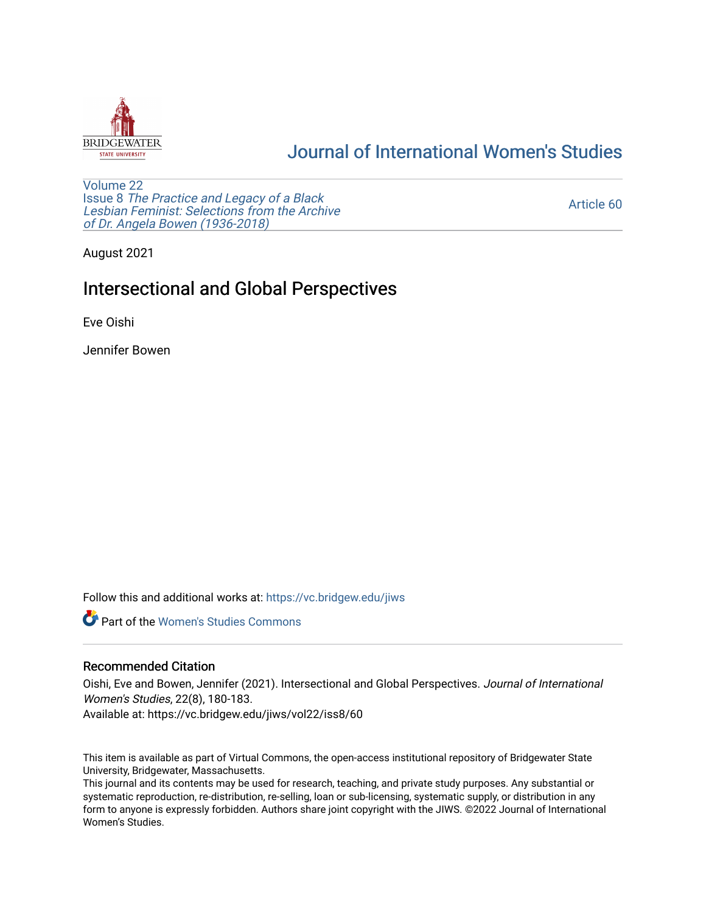

# [Journal of International Women's Studies](https://vc.bridgew.edu/jiws)

[Volume 22](https://vc.bridgew.edu/jiws/vol22) Issue 8 [The Practice and Legacy of a Black](https://vc.bridgew.edu/jiws/vol22/iss8)  [Lesbian Feminist: Selections from the Archive](https://vc.bridgew.edu/jiws/vol22/iss8)  [of Dr. Angela Bowen \(1936-2018\)](https://vc.bridgew.edu/jiws/vol22/iss8)

[Article 60](https://vc.bridgew.edu/jiws/vol22/iss8/60) 

August 2021

## Intersectional and Global Perspectives

Eve Oishi

Jennifer Bowen

Follow this and additional works at: [https://vc.bridgew.edu/jiws](https://vc.bridgew.edu/jiws?utm_source=vc.bridgew.edu%2Fjiws%2Fvol22%2Fiss8%2F60&utm_medium=PDF&utm_campaign=PDFCoverPages)

**C** Part of the Women's Studies Commons

### Recommended Citation

Oishi, Eve and Bowen, Jennifer (2021). Intersectional and Global Perspectives. Journal of International Women's Studies, 22(8), 180-183.

Available at: https://vc.bridgew.edu/jiws/vol22/iss8/60

This item is available as part of Virtual Commons, the open-access institutional repository of Bridgewater State University, Bridgewater, Massachusetts.

This journal and its contents may be used for research, teaching, and private study purposes. Any substantial or systematic reproduction, re-distribution, re-selling, loan or sub-licensing, systematic supply, or distribution in any form to anyone is expressly forbidden. Authors share joint copyright with the JIWS. ©2022 Journal of International Women's Studies.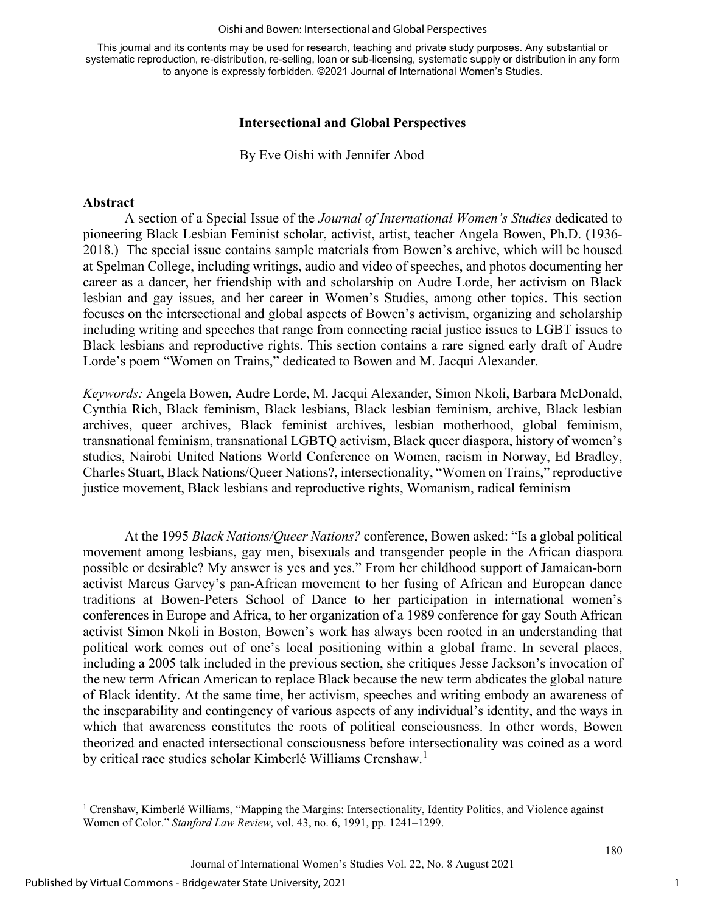#### Oishi and Bowen: Intersectional and Global Perspectives

This journal and its contents may be used for research, teaching and private study purposes. Any substantial or systematic reproduction, re-distribution, re-selling, loan or sub-licensing, systematic supply or distribution in any form to anyone is expressly forbidden. ©2021 Journal of International Women's Studies.

## **Intersectional and Global Perspectives**

By Eve Oishi with Jennifer Abod

### **Abstract**

A section of a Special Issue of the *Journal of International Women's Studies* dedicated to pioneering Black Lesbian Feminist scholar, activist, artist, teacher Angela Bowen, Ph.D. (1936- 2018.) The special issue contains sample materials from Bowen's archive, which will be housed at Spelman College, including writings, audio and video of speeches, and photos documenting her career as a dancer, her friendship with and scholarship on Audre Lorde, her activism on Black lesbian and gay issues, and her career in Women's Studies, among other topics. This section focuses on the intersectional and global aspects of Bowen's activism, organizing and scholarship including writing and speeches that range from connecting racial justice issues to LGBT issues to Black lesbians and reproductive rights. This section contains a rare signed early draft of Audre Lorde's poem "Women on Trains," dedicated to Bowen and M. Jacqui Alexander.

*Keywords:* Angela Bowen, Audre Lorde, M. Jacqui Alexander, Simon Nkoli, Barbara McDonald, Cynthia Rich, Black feminism, Black lesbians, Black lesbian feminism, archive, Black lesbian archives, queer archives, Black feminist archives, lesbian motherhood, global feminism, transnational feminism, transnational LGBTQ activism, Black queer diaspora, history of women's studies, Nairobi United Nations World Conference on Women, racism in Norway, Ed Bradley, Charles Stuart, Black Nations/Queer Nations?, intersectionality, "Women on Trains," reproductive justice movement, Black lesbians and reproductive rights, Womanism, radical feminism

At the 1995 *Black Nations/Queer Nations?* conference, Bowen asked: "Is a global political movement among lesbians, gay men, bisexuals and transgender people in the African diaspora possible or desirable? My answer is yes and yes." From her childhood support of Jamaican-born activist Marcus Garvey's pan-African movement to her fusing of African and European dance traditions at Bowen-Peters School of Dance to her participation in international women's conferences in Europe and Africa, to her organization of a 1989 conference for gay South African activist Simon Nkoli in Boston, Bowen's work has always been rooted in an understanding that political work comes out of one's local positioning within a global frame. In several places, including a 2005 talk included in the previous section, she critiques Jesse Jackson's invocation of the new term African American to replace Black because the new term abdicates the global nature of Black identity. At the same time, her activism, speeches and writing embody an awareness of the inseparability and contingency of various aspects of any individual's identity, and the ways in which that awareness constitutes the roots of political consciousness. In other words, Bowen theorized and enacted intersectional consciousness before intersectionality was coined as a word by critical race studies scholar Kimberlé Williams Crenshaw.<sup>[1](#page-1-0)</sup>

<span id="page-1-0"></span><sup>&</sup>lt;sup>1</sup> Crenshaw, Kimberlé Williams, "Mapping the Margins: Intersectionality, Identity Politics, and Violence against Women of Color." *Stanford Law Review*, vol. 43, no. 6, 1991, pp. 1241–1299.

Journal of International Women's Studies Vol. 22, No. 8 August 2021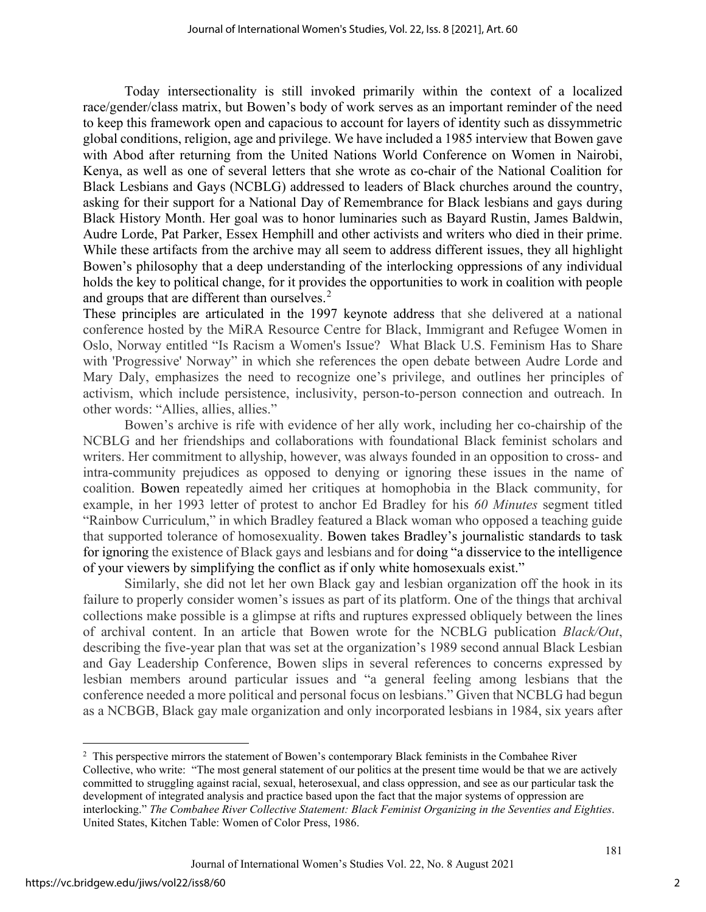Today intersectionality is still invoked primarily within the context of a localized race/gender/class matrix, but Bowen's body of work serves as an important reminder of the need to keep this framework open and capacious to account for layers of identity such as dissymmetric global conditions, religion, age and privilege. We have included a 1985 interview that Bowen gave with Abod after returning from the United Nations World Conference on Women in Nairobi, Kenya, as well as one of several letters that she wrote as co-chair of the National Coalition for Black Lesbians and Gays (NCBLG) addressed to leaders of Black churches around the country, asking for their support for a National Day of Remembrance for Black lesbians and gays during Black History Month. Her goal was to honor luminaries such as Bayard Rustin, James Baldwin, Audre Lorde, Pat Parker, Essex Hemphill and other activists and writers who died in their prime. While these artifacts from the archive may all seem to address different issues, they all highlight Bowen's philosophy that a deep understanding of the interlocking oppressions of any individual holds the key to political change, for it provides the opportunities to work in coalition with people and groups that are different than ourselves.<sup>[2](#page-2-0)</sup>

These principles are articulated in the 1997 keynote address that she delivered at a national conference hosted by the MiRA Resource Centre for Black, Immigrant and Refugee Women in Oslo, Norway entitled "Is Racism a Women's Issue? What Black U.S. Feminism Has to Share with 'Progressive' Norway" in which she references the open debate between Audre Lorde and Mary Daly, emphasizes the need to recognize one's privilege, and outlines her principles of activism, which include persistence, inclusivity, person-to-person connection and outreach. In other words: "Allies, allies, allies."

Bowen's archive is rife with evidence of her ally work, including her co-chairship of the NCBLG and her friendships and collaborations with foundational Black feminist scholars and writers. Her commitment to allyship, however, was always founded in an opposition to cross- and intra-community prejudices as opposed to denying or ignoring these issues in the name of coalition. Bowen repeatedly aimed her critiques at homophobia in the Black community, for example, in her 1993 letter of protest to anchor Ed Bradley for his *60 Minutes* segment titled "Rainbow Curriculum," in which Bradley featured a Black woman who opposed a teaching guide that supported tolerance of homosexuality. Bowen takes Bradley's journalistic standards to task for ignoring the existence of Black gays and lesbians and for doing "a disservice to the intelligence of your viewers by simplifying the conflict as if only white homosexuals exist."

Similarly, she did not let her own Black gay and lesbian organization off the hook in its failure to properly consider women's issues as part of its platform. One of the things that archival collections make possible is a glimpse at rifts and ruptures expressed obliquely between the lines of archival content. In an article that Bowen wrote for the NCBLG publication *Black/Out*, describing the five-year plan that was set at the organization's 1989 second annual Black Lesbian and Gay Leadership Conference, Bowen slips in several references to concerns expressed by lesbian members around particular issues and "a general feeling among lesbians that the conference needed a more political and personal focus on lesbians." Given that NCBLG had begun as a NCBGB, Black gay male organization and only incorporated lesbians in 1984, six years after

<span id="page-2-0"></span><sup>&</sup>lt;sup>2</sup> This perspective mirrors the statement of Bowen's contemporary Black feminists in the Combahee River Collective, who write: "The most general statement of our politics at the present time would be that we are actively committed to struggling against racial, sexual, heterosexual, and class oppression, and see as our particular task the development of integrated analysis and practice based upon the fact that the major systems of oppression are interlocking." *The Combahee River Collective Statement: Black Feminist Organizing in the Seventies and Eighties*. United States, Kitchen Table: Women of Color Press, 1986.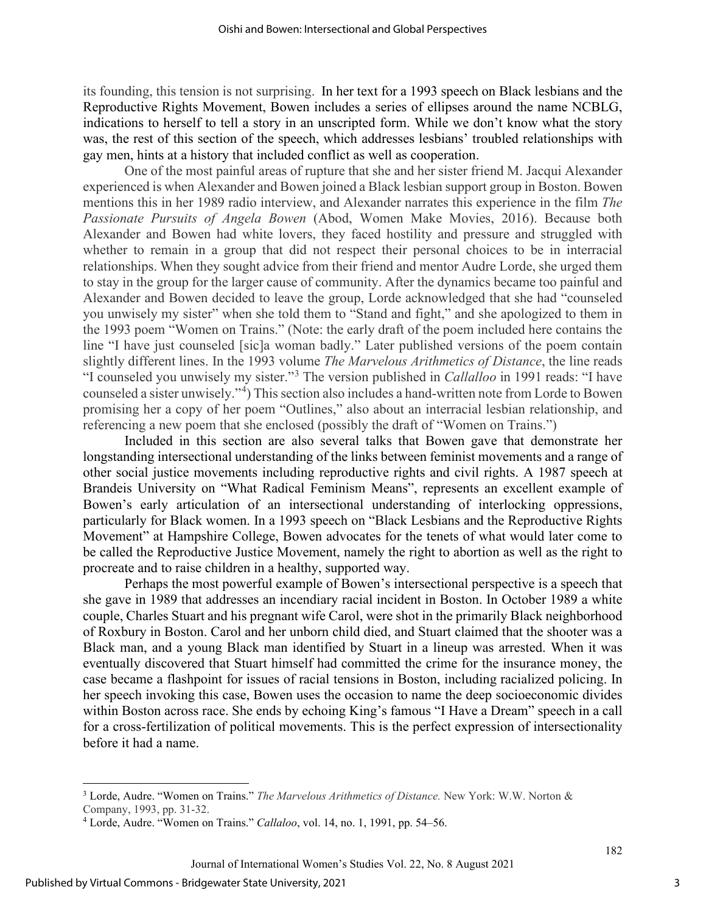its founding, this tension is not surprising. In her text for a 1993 speech on Black lesbians and the Reproductive Rights Movement, Bowen includes a series of ellipses around the name NCBLG, indications to herself to tell a story in an unscripted form. While we don't know what the story was, the rest of this section of the speech, which addresses lesbians' troubled relationships with gay men, hints at a history that included conflict as well as cooperation.

One of the most painful areas of rupture that she and her sister friend M. Jacqui Alexander experienced is when Alexander and Bowen joined a Black lesbian support group in Boston. Bowen mentions this in her 1989 radio interview, and Alexander narrates this experience in the film *The Passionate Pursuits of Angela Bowen* (Abod, Women Make Movies, 2016). Because both Alexander and Bowen had white lovers, they faced hostility and pressure and struggled with whether to remain in a group that did not respect their personal choices to be in interracial relationships. When they sought advice from their friend and mentor Audre Lorde, she urged them to stay in the group for the larger cause of community. After the dynamics became too painful and Alexander and Bowen decided to leave the group, Lorde acknowledged that she had "counseled you unwisely my sister" when she told them to "Stand and fight," and she apologized to them in the 1993 poem "Women on Trains." (Note: the early draft of the poem included here contains the line "I have just counseled [sic]a woman badly." Later published versions of the poem contain slightly different lines. In the 1993 volume *The Marvelous Arithmetics of Distance*, the line reads "I counseled you unwisely my sister."[3](#page-3-0) The version published in *Callalloo* in 1991 reads: "I have counseled a sister unwisely."[4](#page-3-1) ) This section also includes a hand-written note from Lorde to Bowen promising her a copy of her poem "Outlines," also about an interracial lesbian relationship, and referencing a new poem that she enclosed (possibly the draft of "Women on Trains.")

Included in this section are also several talks that Bowen gave that demonstrate her longstanding intersectional understanding of the links between feminist movements and a range of other social justice movements including reproductive rights and civil rights. A 1987 speech at Brandeis University on "What Radical Feminism Means", represents an excellent example of Bowen's early articulation of an intersectional understanding of interlocking oppressions, particularly for Black women. In a 1993 speech on "Black Lesbians and the Reproductive Rights Movement" at Hampshire College, Bowen advocates for the tenets of what would later come to be called the Reproductive Justice Movement, namely the right to abortion as well as the right to procreate and to raise children in a healthy, supported way.

Perhaps the most powerful example of Bowen's intersectional perspective is a speech that she gave in 1989 that addresses an incendiary racial incident in Boston. In October 1989 a white couple, Charles Stuart and his pregnant wife Carol, were shot in the primarily Black neighborhood of Roxbury in Boston. Carol and her unborn child died, and Stuart claimed that the shooter was a Black man, and a young Black man identified by Stuart in a lineup was arrested. When it was eventually discovered that Stuart himself had committed the crime for the insurance money, the case became a flashpoint for issues of racial tensions in Boston, including racialized policing. In her speech invoking this case, Bowen uses the occasion to name the deep socioeconomic divides within Boston across race. She ends by echoing King's famous "I Have a Dream" speech in a call for a cross-fertilization of political movements. This is the perfect expression of intersectionality before it had a name.

<span id="page-3-0"></span><sup>3</sup> Lorde, Audre. "Women on Trains." *The Marvelous Arithmetics of Distance.* New York: W.W. Norton & Company, 1993, pp. 31-32.

<span id="page-3-1"></span><sup>4</sup> Lorde, Audre. "Women on Trains." *Callaloo*, vol. 14, no. 1, 1991, pp. 54–56.